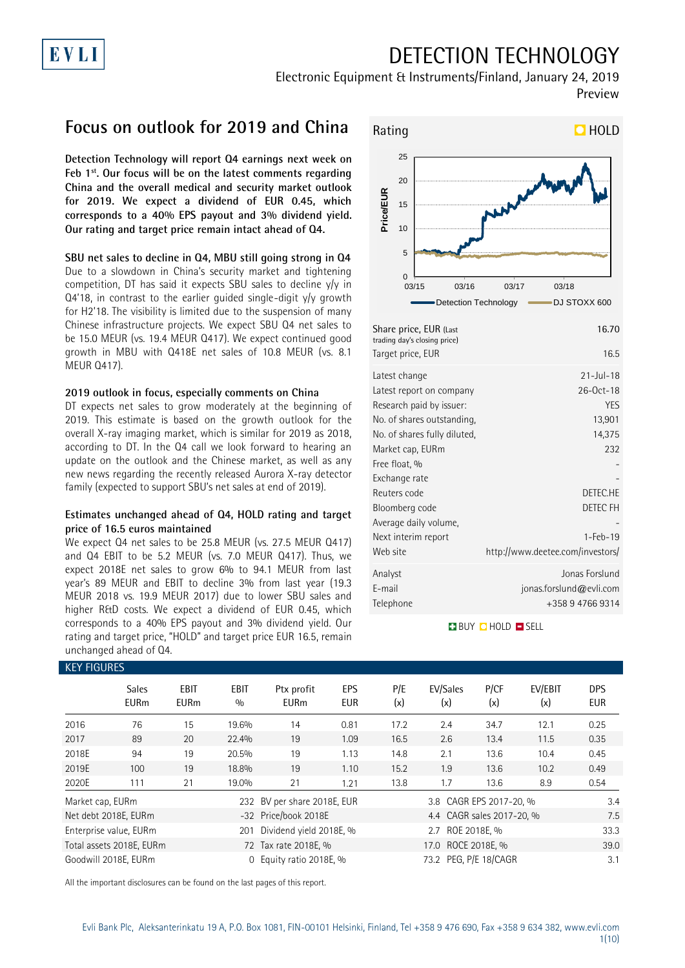## DETECTION TECHNOLOGY

Electronic Equipment & Instruments/Finland, January 24, 2019 Preview

## **Focus on outlook for 2019 and China**

EVLI

**Detection Technology will report Q4 earnings next week on Feb 1st. Our focus will be on the latest comments regarding China and the overall medical and security market outlook for 2019. We expect a dividend of EUR 0.45, which corresponds to a 40% EPS payout and 3% dividend yield. Our rating and target price remain intact ahead of Q4.**

#### **SBU net sales to decline in Q4, MBU still going strong in Q4**

Due to a slowdown in China's security market and tightening competition, DT has said it expects SBU sales to decline y/y in Q4'18, in contrast to the earlier guided single-digit y/y growth for H2'18. The visibility is limited due to the suspension of many Chinese infrastructure projects. We expect SBU Q4 net sales to be 15.0 MEUR (vs. 19.4 MEUR Q417). We expect continued good growth in MBU with Q418E net sales of 10.8 MEUR (vs. 8.1 MEUR Q417).

#### **2019 outlook in focus, especially comments on China**

DT expects net sales to grow moderately at the beginning of 2019. This estimate is based on the growth outlook for the overall X-ray imaging market, which is similar for 2019 as 2018, according to DT. In the Q4 call we look forward to hearing an update on the outlook and the Chinese market, as well as any new news regarding the recently released Aurora X-ray detector family (expected to support SBU's net sales at end of 2019).

#### **Estimates unchanged ahead of Q4, HOLD rating and target price of 16.5 euros maintained**

We expect Q4 net sales to be 25.8 MEUR (vs. 27.5 MEUR Q417) and Q4 EBIT to be 5.2 MEUR (vs. 7.0 MEUR Q417). Thus, we expect 2018E net sales to grow 6% to 94.1 MEUR from last year's 89 MEUR and EBIT to decline 3% from last year (19.3 MEUR 2018 vs. 19.9 MEUR 2017) due to lower SBU sales and higher R&D costs. We expect a dividend of EUR 0.45, which corresponds to a 40% EPS payout and 3% dividend yield. Our rating and target price, "HOLD" and target price EUR 16.5, remain unchanged ahead of Q4.



| Share price, EUR (Last<br>trading day's closing price) | 16.70                            |
|--------------------------------------------------------|----------------------------------|
| Target price, EUR                                      | 16.5                             |
| Latest change                                          | $21 -  u  - 18$                  |
| Latest report on company                               | $26 - 0ct - 18$                  |
| Research paid by issuer:                               | <b>YES</b>                       |
| No. of shares outstanding,                             | 13,901                           |
| No. of shares fully diluted,                           | 14,375                           |
| Market cap, EURm                                       | 232                              |
| Free float, %                                          |                                  |
| Exchange rate                                          |                                  |
| Reuters code                                           | DETEC.HE                         |
| Bloomberg code                                         | DETEC FH                         |
| Average daily volume,                                  |                                  |
| Next interim report                                    | $1 - Feb - 19$                   |
| Web site                                               | http://www.deetee.com/investors/ |
| Analyst                                                | Jonas Forslund                   |
| E-mail                                                 | jonas.forslund@evli.com          |
| Telephone                                              | +358 9 4766 9314                 |
|                                                        |                                  |

#### **BUY QHOLD SELL**

| <b>KEY FIGURES</b> |                             |                            |                    |                             |                   |            |                           |             |                |                          |
|--------------------|-----------------------------|----------------------------|--------------------|-----------------------------|-------------------|------------|---------------------------|-------------|----------------|--------------------------|
|                    | <b>Sales</b><br><b>EURm</b> | <b>EBIT</b><br><b>EURm</b> | <b>EBIT</b><br>0/0 | Ptx profit<br><b>EURm</b>   | EPS<br><b>EUR</b> | P/E<br>(x) | EV/Sales<br>(x)           | P/CF<br>(x) | EV/EBIT<br>(x) | <b>DPS</b><br><b>EUR</b> |
| 2016               | 76                          | 15                         | 19.6%              | 14                          | 0.81              | 17.2       | 2.4                       | 34.7        | 12.1           | 0.25                     |
| 2017               | 89                          | 20                         | 22.4%              | 19                          | 1.09              | 16.5       | 2.6                       | 13.4        | 11.5           | 0.35                     |
| 2018E              | 94                          | 19                         | 20.5%              | 19                          | 1.13              | 14.8       | 2.1                       | 13.6        | 10.4           | 0.45                     |
| 2019E              | 100                         | 19                         | 18.8%              | 19                          | 1.10              | 15.2       | 1.9                       | 13.6        | 10.2           | 0.49                     |
| 2020E              | 111                         | 21                         | 19.0%              | 21                          | 1.21              | 13.8       | 1.7                       | 13.6        | 8.9            | 0.54                     |
| Market cap, EURm   |                             |                            |                    | 232 BV per share 2018E, EUR |                   |            | 3.8 CAGR EPS 2017-20, %   |             |                | 3.4                      |
|                    | Net debt 2018E, EURm        |                            |                    | -32 Price/book 2018E        |                   |            | 4.4 CAGR sales 2017-20, % |             |                | 7.5                      |
|                    | Enterprise value, EURm      |                            | 201                | Dividend yield 2018E, %     | 2.7 ROE 2018E, %  |            |                           |             | 33.3           |                          |
|                    | Total assets 2018E, EURm    |                            |                    | 72 Tax rate 2018E, %        |                   |            | 39.0                      |             |                |                          |
|                    | Goodwill 2018E, EURm        |                            | 0                  | Equity ratio 2018E, %       |                   |            | 73.2 PEG, P/E 18/CAGR     |             |                | 3.1                      |

All the important disclosures can be found on the last pages of this report.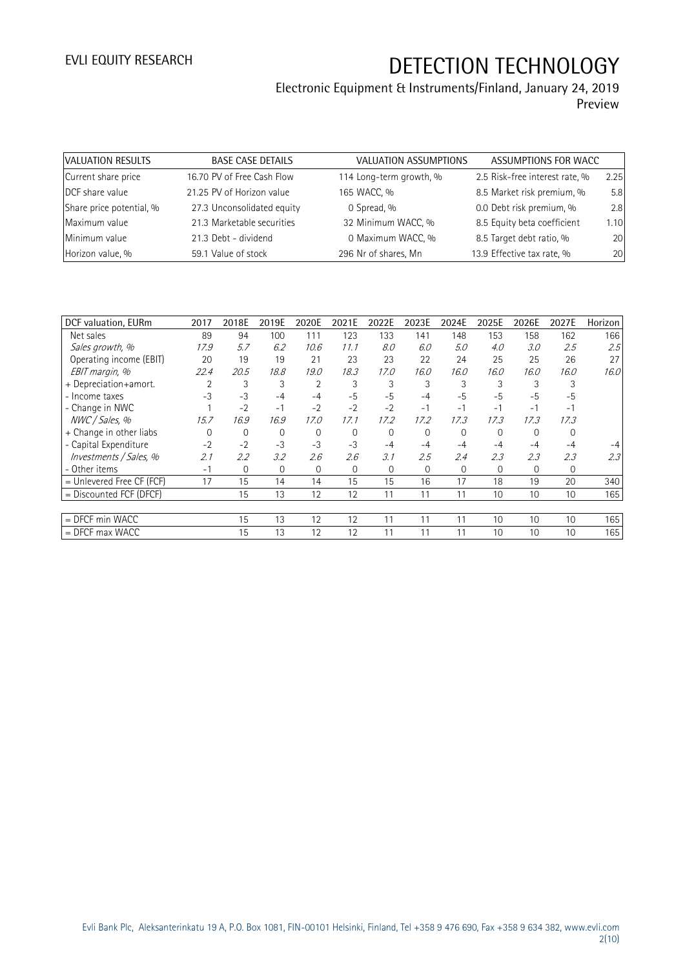| VALUATION RESULTS        | <b>BASE CASE DETAILS</b>   | VALUATION ASSUMPTIONS   | ASSUMPTIONS FOR WACC           |      |
|--------------------------|----------------------------|-------------------------|--------------------------------|------|
| Current share price      | 16.70 PV of Free Cash Flow | 114 Long-term growth, % | 2.5 Risk-free interest rate, % | 2.25 |
| DCF share value          | 21.25 PV of Horizon value  | 165 WACC, %             | 8.5 Market risk premium, %     | 5.8  |
| Share price potential, % | 27.3 Unconsolidated equity | 0 Spread, %             | 0.0 Debt risk premium, %       | 2.8  |
| Maximum value            | 21.3 Marketable securities | 32 Minimum WACC, %      | 8.5 Equity beta coefficient    | 1.10 |
| Minimum value            | 21.3 Debt - dividend       | 0 Maximum WACC, %       | 8.5 Target debt ratio, %       | 20   |
| Horizon value, %         | 59.1 Value of stock        | 296 Nr of shares, Mn    | 13.9 Effective tax rate, %     | 20   |

| DCF valuation, EURm         | 2017     | 2018E          | 2019E    | 2020E          | 2021E        | 2022E    | 2023E    | 2024E    | 2025E          | 2026E    | 2027E    | Horizon |
|-----------------------------|----------|----------------|----------|----------------|--------------|----------|----------|----------|----------------|----------|----------|---------|
| Net sales                   | 89       | 94             | 100      | 111            | 123          | 133      | 141      | 148      | 153            | 158      | 162      | 166     |
| Sales growth, %             | 17.9     | 5.7            | 6.2      | 10.6           | 11.1         | 8.0      | 6.0      | 5.0      | 4.0            | 3.0      | 2.5      | 2.5     |
| Operating income (EBIT)     | 20       | 19             | 19       | 21             | 23           | 23       | 22       | 24       | 25             | 25       | 26       | 27      |
| EBIT margin, %              | 22.4     | 20.5           | 18.8     | 19.0           | 18.3         | 17.0     | 16.0     | 16.0     | 16.0           | 16.0     | 16.0     | 16.0    |
| + Depreciation+amort.       |          | 3              | 3        | $\overline{2}$ | 3            | 3        | 3        | 3        |                | 3        |          |         |
| - Income taxes              | $-3$     | $-3$           | $-4$     | $-4$           | $-5$         | $-5$     | $-4$     | $-5$     | $-5$           | $-5$     | $-5$     |         |
| - Change in NWC             |          | $-2$           | $-1$     | $-2$           | $-2$         | $-2$     | $-1$     | $-1$     | $-1$           | $-1$     | $-1$     |         |
| NWC / Sales, %              | 15.7     | 16.9           | 16.9     | 17.0           | 17.1         | 17.2     | 17.2     | 17.3     | 17.3           | 17.3     | 17.3     |         |
| + Change in other liabs     | $\Omega$ | 0              | $\Omega$ | $\Omega$       | $\mathbf{0}$ | $\Omega$ | $\Omega$ | $\Omega$ | $\Omega$       | $\Omega$ | $\Omega$ |         |
| - Capital Expenditure       | $-2$     | $-2$           | $-3$     | $-3$           | $-3$         | $-4$     | $-4$     | $-4$     | $-4$           | $-4$     | $-4$     |         |
| Investments / Sales, %      | 2.1      | 2.2            | 3.2      | 2.6            | 2.6          | 3.1      | 2.5      | 2.4      | 2.3            | 2.3      | 2.3      | 2.3     |
| - Other items               | $-1$     | $\overline{0}$ | $\Omega$ | 0              | $\mathbf{0}$ | $\Omega$ | 0        | 0        | $\overline{0}$ | 0        | 0        |         |
| $=$ Unlevered Free CF (FCF) | 17       | 15             | 14       | 14             | 15           | 15       | 16       | 17       | 18             | 19       | 20       | 340     |
| $=$ Discounted FCF (DFCF)   |          | 15             | 13       | 12             | 12           | 11       | 11       | 11       | 10             | 10       | 10       | 165     |
|                             |          |                |          |                |              |          |          |          |                |          |          |         |
| $=$ DFCF min WACC           |          | 15             | 13       | 12             | 12           | 11       | 11       | 11       | 10             | 10       | 10       | 165     |
| $=$ DFCF max WACC           |          | 15             | 13       | 12             | 12           | 11       | 11       | 11       | 10             | 10       | 10       | 165     |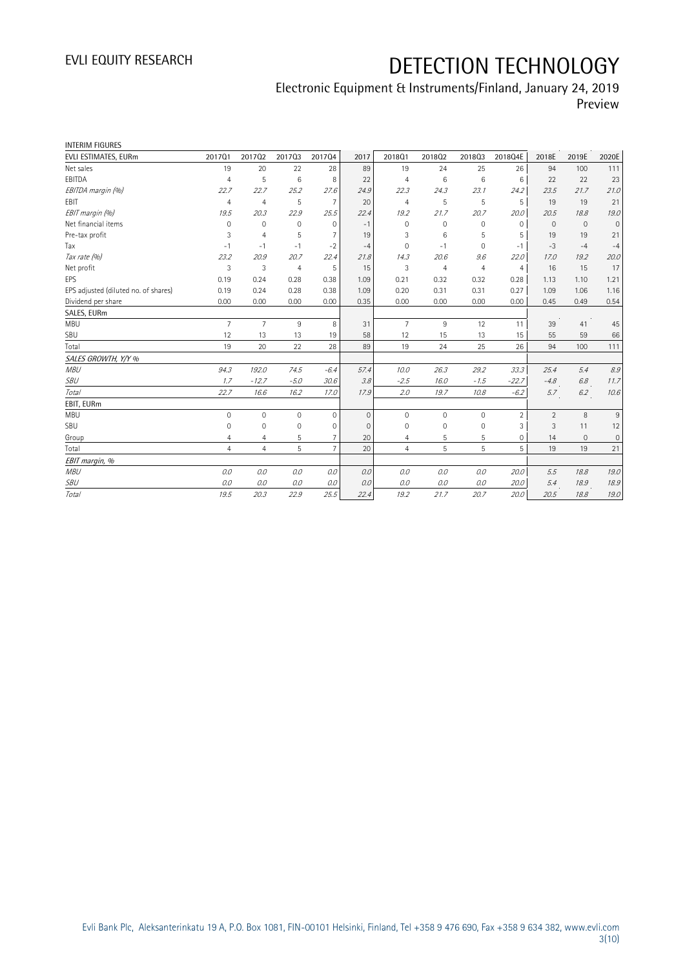| <b>INTERIM FIGURES</b>               |                |                 |                 |                 |              |                |                |                |                |                |              |                     |
|--------------------------------------|----------------|-----------------|-----------------|-----------------|--------------|----------------|----------------|----------------|----------------|----------------|--------------|---------------------|
| EVLI ESTIMATES, EURm                 | 201701         | 201702          | 201703          | 201704          | 2017         | 201801         | 201802         | 201803         | 2018Q4E        | 2018E          | 2019E        | 2020E               |
| Net sales                            | 19             | 20              | 22              | 28              | 89           | 19             | 24             | 25             | 26             | 94             | 100          | 111                 |
| EBITDA                               | $\overline{4}$ | 5               | $6\phantom{1}6$ | 8               | 22           | $\overline{4}$ | 6              | 6              | 6              | 22             | 22           | 23                  |
| EBITDA margin (%)                    | 22.7           | 22.7            | 25.2            | 27.6            | 24.9         | 22.3           | 24.3           | 23.1           | 24.2           | 23.5           | 21.7         | 21.0                |
| EBIT                                 | $\overline{4}$ | $\overline{4}$  | 5               | $\overline{7}$  | 20           | $\overline{4}$ | 5              | 5              | 5              | 19             | 19           | 21                  |
| EBIT margin (%)                      | 19.5           | 20.3            | 22.9            | 25.5            | 22.4         | 19.2           | 21.7           | 20.7           | 20.0           | 20.5           | 18.8         | 19.0                |
| Net financial items                  | $\mathbf 0$    | $\mathbf{0}$    | $\mathbf 0$     | $\mathbf 0$     | $-1$         | $\mathbf{0}$   | $\mathbf 0$    | 0              | $\mathbf 0$    | $\mathbf{0}$   | $\mathbf 0$  | $\mathsf{O}\xspace$ |
| Pre-tax profit                       | 3              | $\overline{4}$  | 5               | $\overline{7}$  | 19           | 3              | 6              | 5              | 5              | 19             | 19           | 21                  |
| Tax                                  | $-1$           | $-1$            | $-1$            | $-2$            | $-4$         | $\Omega$       | $-1$           | 0              | $-1$           | $-3$           | $-4$         | $-4$                |
| Tax rate (%)                         | 23.2           | 20.9            | 20.7            | 22.4            | 21.8         | 14.3           | 20.6           | 9.6            | 22.0           | 17.0           | 19.2         | 20.0                |
| Net profit                           | 3              | 3               | $\overline{4}$  | 5               | 15           | 3              | $\overline{4}$ | $\overline{4}$ | $\overline{4}$ | 16             | 15           | 17                  |
| EPS                                  | 0.19           | 0.24            | 0.28            | 0.38            | 1.09         | 0.21           | 0.32           | 0.32           | 0.28           | 1.13           | 1.10         | 1.21                |
| EPS adjusted (diluted no. of shares) | 0.19           | 0.24            | 0.28            | 0.38            | 1.09         | 0.20           | 0.31           | 0.31           | 0.27           | 1.09           | 1.06         | 1.16                |
| Dividend per share                   | 0.00           | 0.00            | 0.00            | 0.00            | 0.35         | 0.00           | 0.00           | 0.00           | 0.00           | 0.45           | 0.49         | 0.54                |
| SALES, EURm                          |                |                 |                 |                 |              |                |                |                |                |                |              |                     |
| <b>MBU</b>                           | $\overline{7}$ | $7\overline{ }$ | 9               | 8               | 31           | $\overline{7}$ | 9              | 12             | 11             | 39             | 41           | 45                  |
| SBU                                  | 12             | 13              | 13              | 19              | 58           | 12             | 15             | 13             | 15             | 55             | 59           | 66                  |
| Total                                | 19             | 20              | 22              | 28              | 89           | 19             | 24             | 25             | 26             | 94             | 100          | 111                 |
| SALES GROWTH, Y/Y %                  |                |                 |                 |                 |              |                |                |                |                |                |              |                     |
| <b>MBU</b>                           | 94.3           | 192.0           | 74.5            | $-6.4$          | 57.4         | 10.0           | 26.3           | 29.2           | 33.3           | 25.4           | 5.4          | 8.9                 |
| <b>SBU</b>                           | 1.7            | $-12.7$         | $-5.0$          | 30.6            | 3.8          | $-2.5$         | 16.0           | $-1.5$         | $-22.7$        | $-4.8$         | 6.8          | 11.7                |
| Total                                | 22.7           | 16.6            | 16.2            | 17.0            | 17.9         | 2.0            | 19.7           | 10.8           | $-6.2$         | 5.7            | 6.2          | 10.6                |
| EBIT, EURm                           |                |                 |                 |                 |              |                |                |                |                |                |              |                     |
| <b>MBU</b>                           | 0              | $\circ$         | $\mathbf 0$     | $\mathbf 0$     | $\mathbf{0}$ | $\mathbf{0}$   | $\mathbf 0$    | 0              | $\overline{2}$ | $\overline{2}$ | 8            | 9                   |
| SBU                                  | $\mathbf 0$    | $\mathbf{0}$    | $\mathbf{0}$    | $\mathbf{0}$    | $\mathbf{0}$ | $\mathbf 0$    | $\mathbf 0$    | $\mathbf 0$    | 3              | 3              | 11           | 12                  |
| Group                                | $\overline{4}$ | $\overline{4}$  | 5               | $\overline{7}$  | 20           | $\overline{4}$ | 5              | 5              | $\mathbf 0$    | 14             | $\mathbf{0}$ | 0                   |
| Total                                | $\overline{4}$ | $\overline{4}$  | 5               | $7\overline{ }$ | 20           | $\overline{4}$ | 5              | 5              | 5              | 19             | 19           | 21                  |
| EBIT margin, %                       |                |                 |                 |                 |              |                |                |                |                |                |              |                     |
| <b>MBU</b>                           | 0.0            | 0.0             | 0.0             | 0.0             | 0.0          | 0.0            | 0.0            | 0.0            | 20.0           | 5.5            | 18.8         | 19.0                |
| <b>SBU</b>                           | 0.0            | 0.0             | 0.0             | 0.0             | 0.0          | 0.0            | 0.0            | 0.0            | 20.0           | 5.4            | 18.9         | 18.9                |
| Total                                | 19.5           | 20.3            | 22.9            | 25.5            | 22.4         | 19.2           | 21.7           | 20.7           | 20.0           | 20.5           | 18.8         | 19.0                |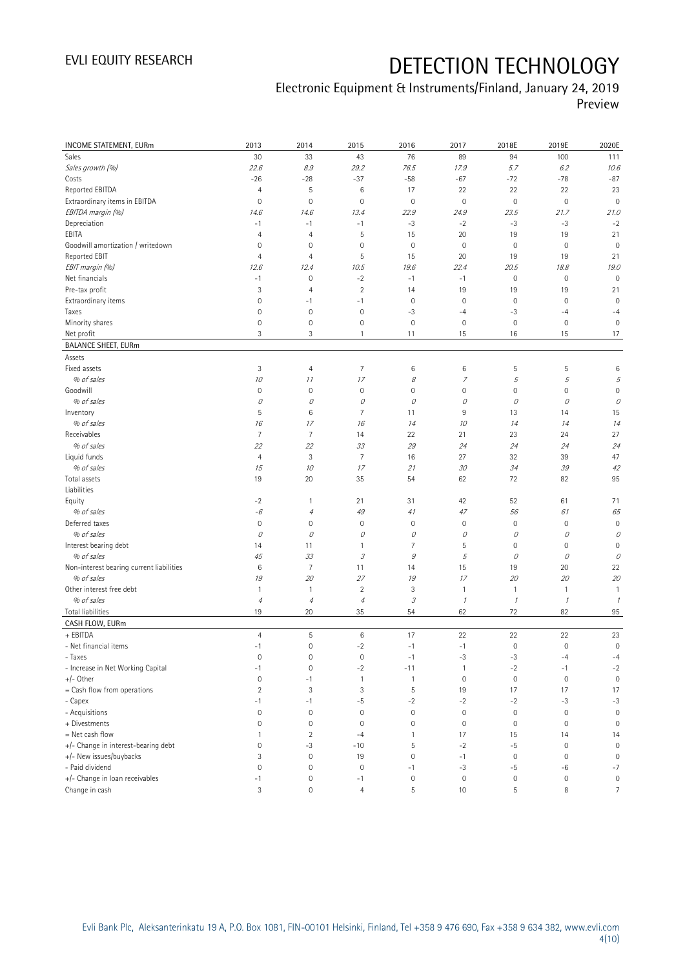| INCOME STATEMENT, EURm                   | 2013                | 2014                      | 2015                       | 2016                       | 2017         | 2018E               | 2019E            | 2020E               |
|------------------------------------------|---------------------|---------------------------|----------------------------|----------------------------|--------------|---------------------|------------------|---------------------|
| Sales                                    | 30                  | 33                        | 43                         | 76                         | 89           | 94                  | 100              | 111                 |
| Sales growth (%)                         | 22.6                | 8.9                       | 29.2                       | 76.5                       | 17.9         | 5.7                 | 6.2              | 10.6                |
| Costs                                    | $-26$               | $-28$                     | $-37$                      | $-58$                      | $-67$        | $-72$               | $-78$            | $-87$               |
| Reported EBITDA                          | $\overline{4}$      | 5                         | 6                          | 17                         | 22           | 22                  | 22               | 23                  |
| Extraordinary items in EBITDA            | $\mathsf{O}\xspace$ | $\mathbf 0$               | $\mathbf 0$                | $\mathbf 0$                | $\mathbf 0$  | $\mathbb O$         | $\mathbf 0$      | $\mathbf 0$         |
| EBITDA margin (%)                        | 14.6                | 14.6                      | 13.4                       | 22.9                       | 24.9         | 23.5                | 21.7             | 21.0                |
| Depreciation                             | $-1$                | $-1$                      | $-1$                       | $-3$                       | $-2$         | $-3$                | -3               | $-2$                |
| EBITA                                    | $\overline{4}$      | $\overline{4}$            | 5                          | 15                         | 20           | 19                  | 19               | 21                  |
| Goodwill amortization / writedown        | $\mathsf{O}\xspace$ | $\mathbf 0$               | $\mathbf 0$                | $\mathbf 0$                | $\mathbf 0$  | $\mathbf 0$         | $\mathbf 0$      | $\mathbf 0$         |
| Reported EBIT                            | 4                   | $\overline{4}$            | 5                          | 15                         | 20           | 19                  | 19               | 21                  |
| EBIT margin (%)                          | 12.6                | 12.4                      | 10.5                       | 19.6                       | 22.4         | 20.5                | 18.8             | 19.0                |
| Net financials                           | $-1$                | $\mathbf 0$               | $-2$                       | $-1$                       | $-1$         | $\mathbf 0$         | $\mathbf 0$      | $\mathbb O$         |
| Pre-tax profit                           | 3                   | $\overline{4}$            | $\overline{2}$             | 14                         | 19           | 19                  | 19               | 21                  |
| Extraordinary items                      | $\mathsf{O}\xspace$ | $-1$                      | $-1$                       | $\circ$                    | $\mathbf 0$  | $\mathbf 0$         | $\mathbf 0$      | $\mathbf 0$         |
| Taxes                                    | $\mathbf 0$         | $\mathbf 0$               | $\mathbb O$                | $-3$                       | $-4$         | $-3$                | $-4$             | $-4$                |
| Minority shares                          | $\mathsf{O}\xspace$ | $\mathbf 0$               | $\mathbf 0$                | $\mathbf 0$                | $\mathbf 0$  | $\mathbf 0$         | $\mathbf 0$      | $\mathbf 0$         |
| Net profit                               | 3                   | 3                         | $\mathbf{1}$               | 11                         | 15           | 16                  | 15               | 17                  |
| <b>BALANCE SHEET, EURm</b>               |                     |                           |                            |                            |              |                     |                  |                     |
| Assets                                   |                     |                           |                            |                            |              |                     |                  |                     |
| Fixed assets                             | 3                   | $\overline{4}$            | $\overline{7}$             | 6                          | $\,6\,$      | 5                   | 5                | $\,6\,$             |
| % of sales                               | 10                  | 11                        | 17                         | 8                          | 7            | 5                   | 5                | 5                   |
| Goodwill                                 | $\circ$             | $\mathbf 0$               | $\mathsf{O}\xspace$        | 0                          | $\mathbf 0$  | $\mathsf{O}\xspace$ | 0                | $\mathbf 0$         |
| % of sales                               | 0                   | 0                         | 0                          | 0                          | 0            | $\mathcal O$        | 0                | 0                   |
| Inventory                                | 5                   | 6                         | 7                          | 11                         | 9            | 13                  | 14               | 15                  |
| % of sales                               | 16                  | 17                        | 16                         | 14                         | 10           | 14                  | 14               | 14                  |
| Receivables                              | 7                   | $\overline{7}$            | 14                         | 22                         | 21           | 23                  | 24               | 27                  |
| % of sales                               | 22                  | 22                        | 33                         | 29                         | 24           | 24                  | 24               | 24                  |
| Liquid funds                             | $\overline{4}$      | $\ensuremath{\mathsf{3}}$ | $\overline{7}$             | 16                         | 27           | 32                  | 39               | 47                  |
| % of sales                               | 15                  | 10                        | 17                         | 21                         | 30           | 34                  | 39               | 42                  |
| Total assets                             | 19                  | 20                        | 35                         | 54                         | 62           | 72                  | 82               | 95                  |
| Liabilities                              |                     |                           |                            |                            |              |                     |                  |                     |
| Equity                                   | $-2$                | 1                         | 21                         | 31                         | 42           | 52                  | 61               | 71                  |
| % of sales                               | -6                  | $\it 4$                   | 49                         | 41                         | 47           | 56                  | 61               | 65                  |
| Deferred taxes                           | $\circ$             | $\mathbf 0$               | $\mathsf{O}\xspace$        | 0                          | $\mathbf 0$  | $\mathbf 0$         | $\mathbf 0$      | $\mathbf 0$         |
| % of sales                               | 0                   | 0                         | 0                          | 0                          | 0            | 0                   | 0                | 0                   |
| Interest bearing debt                    | 14                  | 11                        | 1                          | 7                          | 5            | $\mathbf 0$         | $\mathbf 0$      | 0                   |
| % of sales                               | 45                  | 33                        | $\ensuremath{\mathcal{S}}$ | $\mathcal G$               | 5            | $\mathcal O$        | 0                | 0                   |
| Non-interest bearing current liabilities | $\,6$               | $\overline{7}$            | 11                         | 14                         | 15           | 19                  | 20               | 22                  |
| % of sales                               | 19                  | 20                        | 27                         | 19                         | 17           | 20                  | 20               | 20                  |
| Other interest free debt                 | $\mathbf{1}$        | $\mathbf{1}$              | $\overline{2}$             | 3                          | $\mathbf{1}$ | $\mathbf{1}$        | 1                | $\mathbf{1}$        |
| % of sales                               | $\it 4$             | $\overline{4}$            | $\overline{4}$             | $\ensuremath{\mathcal{S}}$ | $\mathcal I$ | $\mathcal{I}$       | $\mathcal{I}$    | $\mathcal I$        |
| Total liabilities                        | 19                  | 20                        | 35                         | 54                         | 62           | 72                  | 82               | 95                  |
| CASH FLOW, EURm                          |                     |                           |                            |                            |              |                     |                  |                     |
| + EBITDA                                 | $\overline{4}$      | 5                         | 6                          | 17                         | 22           | 22                  | 22               | 23                  |
| - Net financial items                    | $-1$                | $\mathbf 0$               | $-2$                       | $-1$                       | $-1$         | $\mathbf 0$         | $\mathbf 0$      | $\mathbf 0$         |
| - Taxes                                  | $\mathsf{O}\xspace$ | $\mathbf 0$               | $\mathbb O$                | $-1$                       | $-3$         | $-3$                | $-4$             | $-4$                |
| - Increase in Net Working Capital        | $-1$                | $\mathbf 0$               | $-2$                       | $-11$                      | 1            | $-2$                | $-1$             | $-2$                |
| $+/-$ Other                              | $\mathsf{O}\xspace$ | $-1$                      | $\mathbf{1}$               | 1                          | $\mathbf 0$  | $\mathbb O$         | $\mathbf 0$      | $\mathsf{O}\xspace$ |
| = Cash flow from operations              | $\overline{2}$      | 3                         | 3                          | 5                          | 19           | 17                  | 17               | 17                  |
| - Capex                                  | $-1$                | $-1$                      | $-5$                       | $-2$                       | $-2$         | $-2$                | $-3$             | $-3$                |
| - Acquisitions                           | $\mathsf{O}\xspace$ | $\mathbf 0$               | $\mathbf 0$                | 0                          | $\mathbf 0$  | $\mathbb O$         | $\mathbf 0$      | $\mathbb O$         |
| + Divestments                            | $\mathbf 0$         | $\mathbf 0$               | $\mathbf{0}$               | 0                          | $\mathbf 0$  | $\mathbf 0$         | $\mathbf 0$      | $\mathbf 0$         |
| $=$ Net cash flow                        | $\mathbf{1}$        | $\overline{2}$            | $-4$                       | 1                          | 17           | 15                  | 14               | 14                  |
| +/- Change in interest-bearing debt      | $\mathsf{O}\xspace$ | -3                        | $-10$                      | 5                          | $-2$         | $-5$                | $\mathbf 0$      | $\mathbb O$         |
| +/- New issues/buybacks                  | 3                   | $\mathbf 0$               | 19                         | $\mathbf 0$                | $-1$         | $\mathbb O$         | $\mathbf 0$      | $\mathbb O$         |
| - Paid dividend                          | $\circ$             | $\mathbf 0$               | $\mathbf 0$                | $-1$                       | $-3$         | $-5$                | $-6$             | $-7$                |
| +/- Change in loan receivables           | $-1$                | $\mathbf 0$               | $-1$                       | $\mathbf 0$                | $\mathbf 0$  | $\mathbb O$         | $\boldsymbol{0}$ | $\mathbb O$         |
| Change in cash                           | 3                   | $\mathsf{O}\xspace$       | 4                          | 5                          | 10           | 5                   | 8                | $\overline{7}$      |
|                                          |                     |                           |                            |                            |              |                     |                  |                     |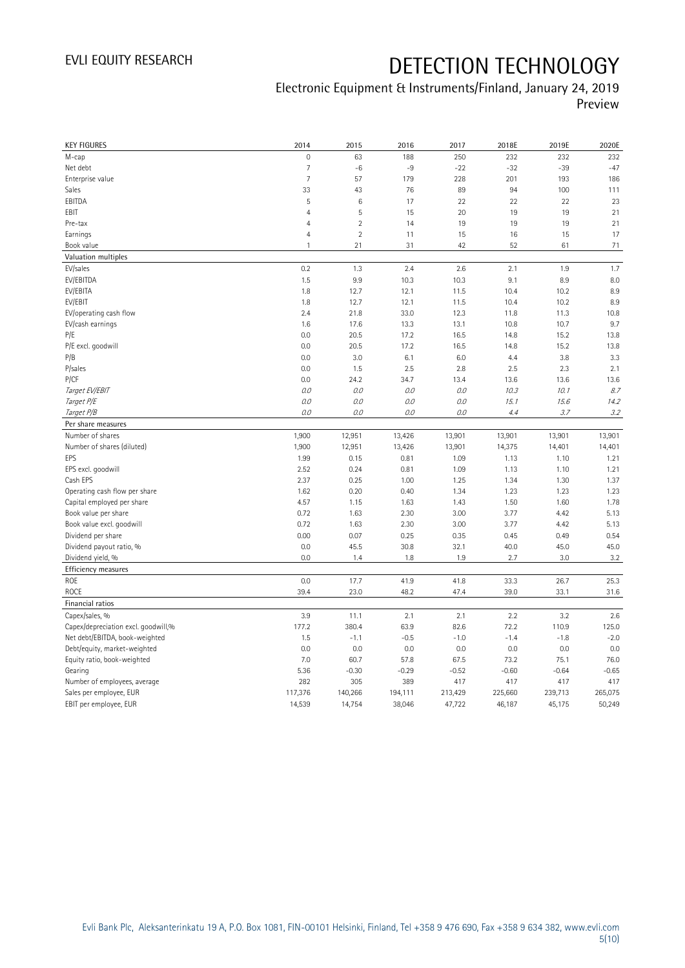| <b>KEY FIGURES</b>                                | 2014              | 2015              | 2016              | 2017              | 2018E             | 2019E             | 2020E             |
|---------------------------------------------------|-------------------|-------------------|-------------------|-------------------|-------------------|-------------------|-------------------|
| M-cap                                             | $\mathbf 0$       | 63                | 188               | 250               | 232               | 232               | 232               |
| Net debt                                          | $\overline{7}$    | $-6$              | $-9$              | $-22$             | $-32$             | $-39$             | $-47$             |
| Enterprise value                                  | $\overline{7}$    | 57                | 179               | 228               | 201               | 193               | 186               |
| Sales                                             | 33                | 43                | 76                | 89                | 94                | 100               | 111               |
| EBITDA                                            | 5                 | $6\phantom{1}6$   | 17                | 22                | 22                | 22                | 23                |
| EBIT                                              | $\overline{4}$    | 5                 | 15                | 20                | 19                | 19                | 21                |
| Pre-tax                                           | $\overline{4}$    | $\overline{2}$    | 14                | 19                | 19                | 19                | 21                |
| Earnings                                          | $\overline{4}$    | $\overline{2}$    | 11                | 15                | 16                | 15                | 17                |
| Book value                                        | $\mathbf{1}$      | 21                | 31                | 42                | 52                | 61                | 71                |
| Valuation multiples                               |                   |                   |                   |                   |                   |                   |                   |
| EV/sales                                          | 0.2               | 1.3               | 2.4               | 2.6               | 2.1               | 1.9               | 1.7               |
| EV/EBITDA                                         | 1.5               | 9.9               | 10.3              | 10.3              | 9.1               | 8.9               | 8.0               |
| EV/EBITA                                          | 1.8               | 12.7              | 12.1              | 11.5              | 10.4              | 10.2              | 8.9               |
| EV/EBIT                                           | 1.8               | 12.7              | 12.1              | 11.5              | 10.4              | 10.2              | 8.9               |
| EV/operating cash flow                            | 2.4               | 21.8              | 33.0              | 12.3              | 11.8              | 11.3              | 10.8              |
| EV/cash earnings                                  | 1.6               | 17.6              | 13.3              | 13.1              | 10.8              | 10.7              | 9.7               |
| P/E                                               | 0.0               | 20.5              | 17.2              | 16.5              | 14.8              | 15.2              | 13.8              |
| P/E excl. goodwill                                | 0.0               | 20.5              | 17.2              | 16.5              | 14.8              | 15.2              | 13.8              |
| P/B                                               | 0.0               | 3.0               | 6.1               | 6.0               | 4.4               | 3.8               | 3.3               |
| P/sales                                           | 0.0               | 1.5               | 2.5               | 2.8               | 2.5               | 2.3               | 2.1               |
| P/CF                                              | 0.0               | 24.2              | 34.7              | 13.4              | 13.6              | 13.6              | 13.6              |
| Target EV/EBIT                                    | O.O               | 0.0               | 0.0               | $O.O$             | 10.3              | 10.1              | 8.7               |
| Target P/E                                        | $0.0$             | 0.0               | 0.0               | 0.0               | 15.1              | 15.6              | 14.2              |
| Target P/B                                        | $0.0$             | 0.0               | 0.0               | $O.O$             | 4.4               | 3.7               | 3.2               |
| Per share measures                                |                   |                   |                   |                   |                   |                   |                   |
| Number of shares                                  | 1,900             | 12,951            | 13,426            | 13,901            | 13,901            | 13,901            | 13,901            |
| Number of shares (diluted)                        | 1,900             | 12,951            | 13,426            | 13,901            | 14,375            | 14,401            | 14,401            |
|                                                   |                   |                   |                   |                   |                   |                   |                   |
|                                                   |                   |                   |                   |                   |                   |                   |                   |
| EPS                                               | 1.99              | 0.15              | 0.81              | 1.09              | 1.13              | 1.10              | 1.21              |
| EPS excl. goodwill                                | 2.52              | 0.24              | 0.81              | 1.09              | 1.13              | 1.10              | 1.21              |
| Cash EPS                                          | 2.37              | 0.25              | 1.00              | 1.25              | 1.34              | 1.30              | 1.37              |
| Operating cash flow per share                     | 1.62              | 0.20              | 0.40              | 1.34              | 1.23              | 1.23              | 1.23              |
| Capital employed per share                        | 4.57              | 1.15              | 1.63              | 1.43              | 1.50              | 1.60              | 1.78              |
| Book value per share                              | 0.72              | 1.63              | 2.30              | 3.00              | 3.77              | 4.42              | 5.13              |
| Book value excl. goodwill                         | 0.72              | 1.63              | 2.30              | 3.00              | 3.77              | 4.42              | 5.13              |
| Dividend per share                                | 0.00              | 0.07              | 0.25              | 0.35              | 0.45              | 0.49              | 0.54              |
| Dividend payout ratio, %                          | 0.0               | 45.5              | 30.8              | 32.1              | 40.0              | 45.0              | 45.0              |
| Dividend yield, %                                 | 0.0               | 1.4               | 1.8               | 1.9               | 2.7               | 3.0               | 3.2               |
| Efficiency measures                               |                   |                   |                   |                   |                   |                   |                   |
| ROE                                               | 0.0               | 17.7              | 41.9              | 41.8              | 33.3              | 26.7              | 25.3              |
| <b>ROCE</b>                                       | 39.4              | 23.0              | 48.2              | 47.4              | 39.0              | 33.1              | 31.6              |
| Financial ratios                                  |                   |                   |                   |                   |                   |                   |                   |
| Capex/sales, %                                    | 3.9               | 11.1              | 2.1               | 2.1               | 2.2               | 3.2               | 2.6               |
| Capex/depreciation excl. goodwill,%               | 177.2             | 380.4             | 63.9              | 82.6              | 72.2              | 110.9             | 125.0             |
| Net debt/EBITDA, book-weighted                    | 1.5               | $-1.1$            | $-0.5$            | $-1.0$            | $-1.4$            | $-1.8$            | $-2.0$            |
| Debt/equity, market-weighted                      | 0.0               | 0.0               | 0.0               | 0.0               | 0.0               | 0.0               | 0.0               |
| Equity ratio, book-weighted                       | 7.0               | 60.7              | 57.8              | 67.5              | 73.2              | 75.1              | 76.0              |
| Gearing                                           | 5.36              | $-0.30$           | $-0.29$           | $-0.52$           | $-0.60$           | $-0.64$           | $-0.65$           |
| Number of employees, average                      | 282               | 305               | 389               | 417               | 417               | 417               | 417               |
| Sales per employee, EUR<br>EBIT per employee, EUR | 117,376<br>14,539 | 140,266<br>14,754 | 194,111<br>38,046 | 213,429<br>47,722 | 225,660<br>46,187 | 239,713<br>45,175 | 265,075<br>50,249 |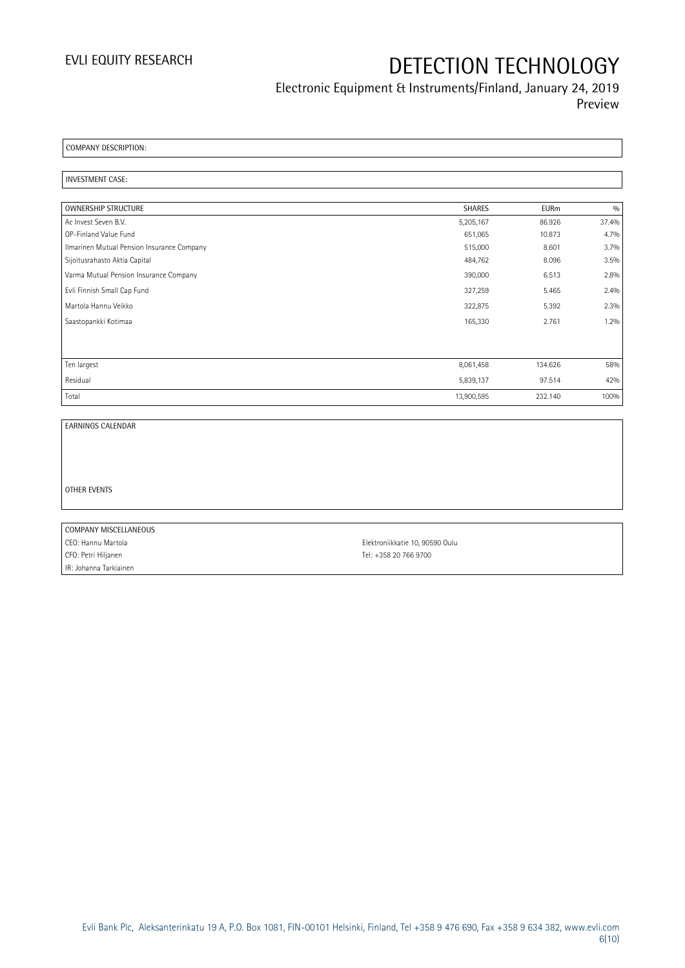### Electronic Equipment & Instruments/Finland, January 24, 2019 Preview

COMPANY DESCRIPTION:

#### INVESTMENT CASE:

| OWNERSHIP STRUCTURE                        | <b>SHARES</b> | <b>EURm</b> | 0/0   |
|--------------------------------------------|---------------|-------------|-------|
| Ac Invest Seven B.V.                       | 5,205,167     | 86.926      | 37.4% |
| OP-Finland Value Fund                      | 651,065       | 10.873      | 4.7%  |
| Ilmarinen Mutual Pension Insurance Company | 515,000       | 8.601       | 3.7%  |
| Sijoitusrahasto Aktia Capital              | 484,762       | 8.096       | 3.5%  |
| Varma Mutual Pension Insurance Company     | 390,000       | 6.513       | 2.8%  |
| Evli Finnish Small Cap Fund                | 327,259       | 5.465       | 2.4%  |
| Martola Hannu Veikko                       | 322,875       | 5.392       | 2.3%  |
| Saastopankki Kotimaa                       | 165,330       | 2.761       | 1.2%  |
|                                            |               |             |       |
| Ten largest                                | 8,061,458     | 134.626     | 58%   |
| Residual                                   | 5,839,137     | 97.514      | 42%   |
| Total                                      | 13,900,595    | 232.140     | 100%  |

EARNINGS CALENDAR

OTHER EVENTS

| COMPANY MISCELLANEOUS  |                                 |
|------------------------|---------------------------------|
| CEO: Hannu Martola     | Elektroniikkatie 10, 90590 Oulu |
| CFO: Petri Hiljanen    | Tel: +358 20 766 9700           |
| IR: Johanna Tarkiainen |                                 |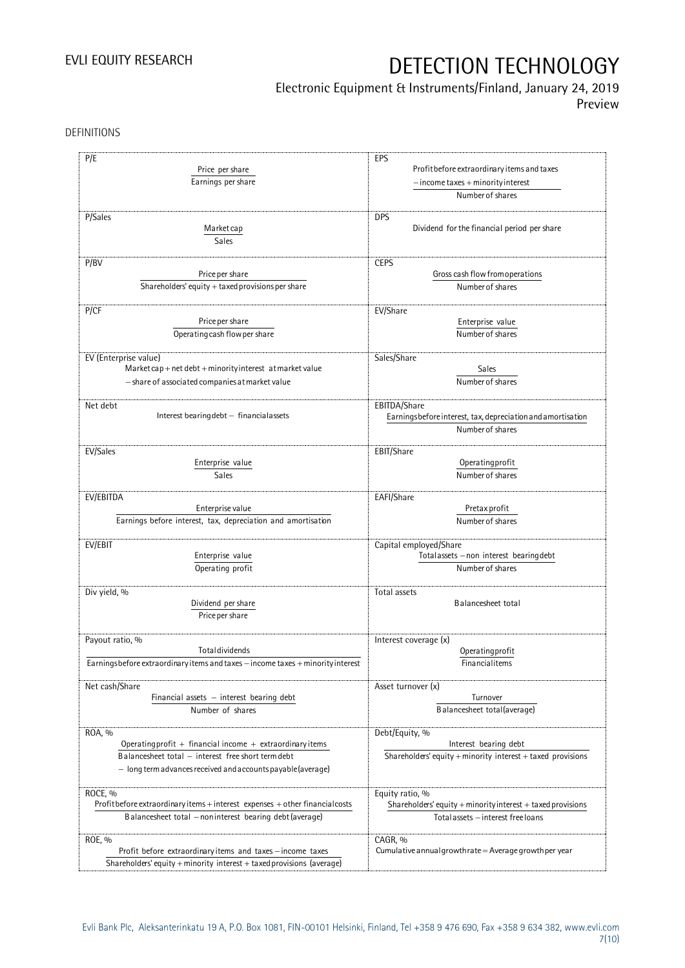## Electronic Equipment & Instruments/Finland, January 24, 2019

Preview

DEFINITIONS

| P/E                                                                                | EPS                                                               |
|------------------------------------------------------------------------------------|-------------------------------------------------------------------|
| Price per share                                                                    | Profit before extraordinary items and taxes                       |
| Earnings per share                                                                 | $-$ income taxes + minority interest                              |
|                                                                                    | Number of shares                                                  |
|                                                                                    |                                                                   |
| P/Sales                                                                            | <b>DPS</b><br>Dividend for the financial period per share         |
| Market cap                                                                         |                                                                   |
| Sales                                                                              |                                                                   |
|                                                                                    |                                                                   |
| P/BV                                                                               | <b>CEPS</b><br>Gross cash flow from operations                    |
| Price per share                                                                    |                                                                   |
| Shareholders' equity + taxed provisions per share                                  | Number of shares                                                  |
| P/CF                                                                               | EV/Share                                                          |
| Price per share                                                                    | Enterprise value                                                  |
|                                                                                    |                                                                   |
| Operating cash flow per share                                                      | Number of shares                                                  |
|                                                                                    | Sales/Share                                                       |
| EV (Enterprise value)<br>Market cap + net debt + minority interest at market value | Sales                                                             |
|                                                                                    | Number of shares                                                  |
| - share of associated companies at market value                                    |                                                                   |
| Net debt                                                                           | EBITDA/Share                                                      |
| Interest bearing debt - financial assets                                           | Earningsbefore interest, tax, depreciation and amortisation       |
|                                                                                    | Number of shares                                                  |
|                                                                                    |                                                                   |
| EV/Sales                                                                           | EBIT/Share                                                        |
| Enterprise value                                                                   | Operating profit                                                  |
| Sales                                                                              | Number of shares                                                  |
|                                                                                    |                                                                   |
| EV/EBITDA                                                                          | EAFI/Share                                                        |
| Enterprise value                                                                   | Pretax profit                                                     |
| Earnings before interest, tax, depreciation and amortisation                       | Number of shares                                                  |
|                                                                                    |                                                                   |
| EV/EBIT<br>Enterprise value                                                        | Capital employed/Share<br>Totalassets - non interest bearing debt |
|                                                                                    |                                                                   |
| Operating profit                                                                   | Number of shares                                                  |
| Div yield, %                                                                       | Total assets                                                      |
| Dividend per share                                                                 | Balancesheet total                                                |
| Price per share                                                                    |                                                                   |
|                                                                                    |                                                                   |
| Payout ratio, %                                                                    | Interest coverage (x)                                             |
| Totaldividends                                                                     | Operatingprofit                                                   |
| Earningsbefore extraordinary items and taxes - income taxes + minority interest    | Financialitems                                                    |
|                                                                                    |                                                                   |
| Net cash/Share                                                                     | Asset turnover (x)                                                |
| Financial assets $-$ interest bearing debt                                         | Turnover                                                          |
| Number of shares                                                                   | Balancesheet total(average)                                       |
|                                                                                    |                                                                   |
| ROA, %                                                                             | Debt/Equity, %                                                    |
| Operating profit + financial income + extraordinary items                          | Interest bearing debt                                             |
| Balancesheet total - interest free short term debt                                 | Shareholders' equity $+$ minority interest $+$ taxed provisions   |
| $-$ long term advances received and accounts payable (average)                     |                                                                   |
|                                                                                    |                                                                   |
| ROCE, %                                                                            | Equity ratio, %                                                   |
| Profit before extraordinary items + interest expenses + other financial costs      | Shareholders' equity + minority interest + taxed provisions       |
| Balancesheet total - noninterest bearing debt (average)                            | Total assets - interest free loans                                |
|                                                                                    |                                                                   |
| ROE, %                                                                             | CAGR, %                                                           |
| Profit before extraordinary items and taxes - income taxes                         | Cumulative annual growth rate = Average growth per year           |
| Shareholders' equity + minority interest + taxed provisions (average)              |                                                                   |
|                                                                                    |                                                                   |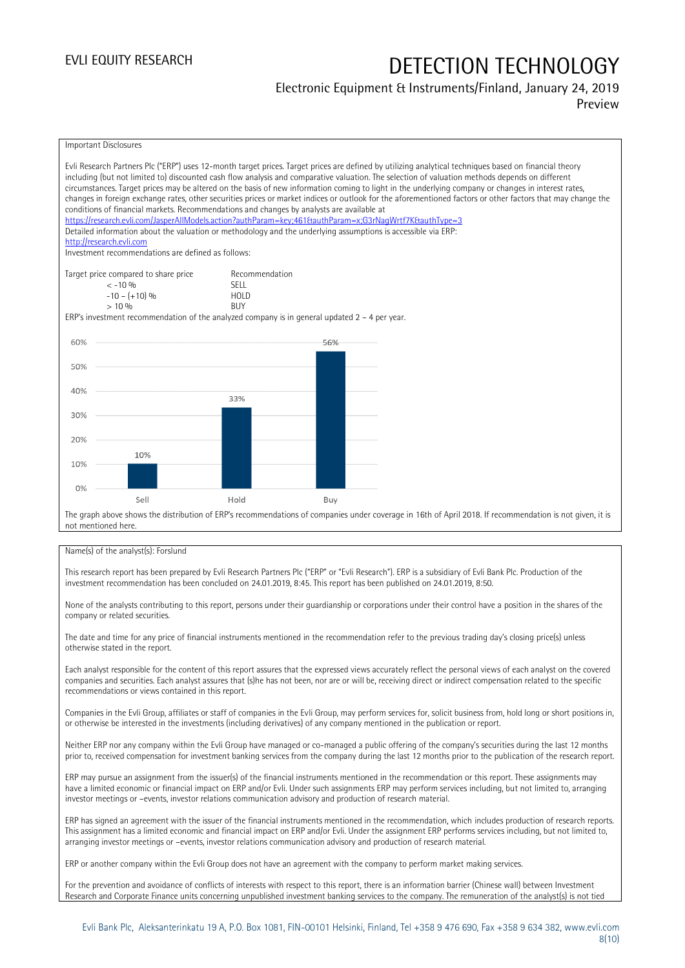### Electronic Equipment & Instruments/Finland, January 24, 2019 Preview

Important Disclosures Evli Research Partners Plc ("ERP") uses 12-month target prices. Target prices are defined by utilizing analytical techniques based on financial theory including (but not limited to) discounted cash flow analysis and comparative valuation. The selection of valuation methods depends on different circumstances. Target prices may be altered on the basis of new information coming to light in the underlying company or changes in interest rates, changes in foreign exchange rates, other securities prices or market indices or outlook for the aforementioned factors or other factors that may change the conditions of financial markets. Recommendations and changes by analysts are available at <https://research.evli.com/JasperAllModels.action?authParam=key;461&authParam=x;G3rNagWrtf7K&authType=3> Detailed information about the valuation or methodology and the underlying assumptions is accessible via ERP: [http://research.evli.com](http://research.evli.com/) Investment recommendations are defined as follows: Target price compared to share price Recommendation<br> $\leq 10\%$  $\langle 5, -10, 9 \rangle$  SELL<br>  $\langle -10, - (+10), 9 \rangle$  HOLD  $-10 - (+10) \%$  HOL<br>  $> 10 \%$  $> 10\%$ ERP's investment recommendation of the analyzed company is in general updated  $2 - 4$  per year. 60% 56% 50% 40% 33%  $30%$ 20% 10% 10%  $0%$ Sell Hold Buy The graph above shows the distribution of ERP's recommendations of companies under coverage in 16th of April 2018. If recommendation is not given, it is not mentioned here.

#### Name(s) of the analyst(s): Forslund

This research report has been prepared by Evli Research Partners Plc ("ERP" or "Evli Research"). ERP is a subsidiary of Evli Bank Plc. Production of the investment recommendation has been concluded on 24.01.2019, 8:45. This report has been published on 24.01.2019, 8:50.

None of the analysts contributing to this report, persons under their guardianship or corporations under their control have a position in the shares of the company or related securities.

The date and time for any price of financial instruments mentioned in the recommendation refer to the previous trading day's closing price(s) unless otherwise stated in the report.

Each analyst responsible for the content of this report assures that the expressed views accurately reflect the personal views of each analyst on the covered companies and securities. Each analyst assures that (s)he has not been, nor are or will be, receiving direct or indirect compensation related to the specific recommendations or views contained in this report.

Companies in the Evli Group, affiliates or staff of companies in the Evli Group, may perform services for, solicit business from, hold long or short positions in, or otherwise be interested in the investments (including derivatives) of any company mentioned in the publication or report.

Neither ERP nor any company within the Evli Group have managed or co-managed a public offering of the company's securities during the last 12 months prior to, received compensation for investment banking services from the company during the last 12 months prior to the publication of the research report.

ERP may pursue an assignment from the issuer(s) of the financial instruments mentioned in the recommendation or this report. These assignments may have a limited economic or financial impact on ERP and/or Evli. Under such assignments ERP may perform services including, but not limited to, arranging investor meetings or –events, investor relations communication advisory and production of research material.

ERP has signed an agreement with the issuer of the financial instruments mentioned in the recommendation, which includes production of research reports. This assignment has a limited economic and financial impact on ERP and/or Evli. Under the assignment ERP performs services including, but not limited to, arranging investor meetings or –events, investor relations communication advisory and production of research material.

ERP or another company within the Evli Group does not have an agreement with the company to perform market making services.

For the prevention and avoidance of conflicts of interests with respect to this report, there is an information barrier (Chinese wall) between Investment Research and Corporate Finance units concerning unpublished investment banking services to the company. The remuneration of the analyst(s) is not tied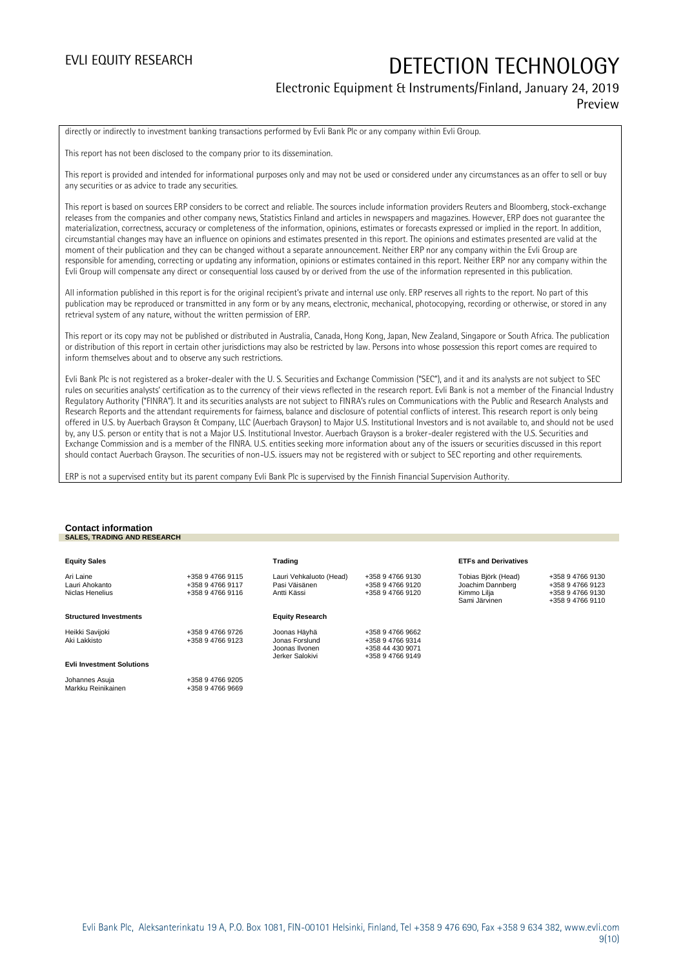### Electronic Equipment & Instruments/Finland, January 24, 2019 Preview

directly or indirectly to investment banking transactions performed by Evli Bank Plc or any company within Evli Group.

This report has not been disclosed to the company prior to its dissemination.

This report is provided and intended for informational purposes only and may not be used or considered under any circumstances as an offer to sell or buy any securities or as advice to trade any securities.

This report is based on sources ERP considers to be correct and reliable. The sources include information providers Reuters and Bloomberg, stock-exchange releases from the companies and other company news, Statistics Finland and articles in newspapers and magazines. However, ERP does not guarantee the materialization, correctness, accuracy or completeness of the information, opinions, estimates or forecasts expressed or implied in the report. In addition, circumstantial changes may have an influence on opinions and estimates presented in this report. The opinions and estimates presented are valid at the moment of their publication and they can be changed without a separate announcement. Neither ERP nor any company within the Evli Group are responsible for amending, correcting or updating any information, opinions or estimates contained in this report. Neither ERP nor any company within the Evli Group will compensate any direct or consequential loss caused by or derived from the use of the information represented in this publication.

All information published in this report is for the original recipient's private and internal use only. ERP reserves all rights to the report. No part of this publication may be reproduced or transmitted in any form or by any means, electronic, mechanical, photocopying, recording or otherwise, or stored in any retrieval system of any nature, without the written permission of ERP.

This report or its copy may not be published or distributed in Australia, Canada, Hong Kong, Japan, New Zealand, Singapore or South Africa. The publication or distribution of this report in certain other jurisdictions may also be restricted by law. Persons into whose possession this report comes are required to inform themselves about and to observe any such restrictions.

Evli Bank Plc is not registered as a broker-dealer with the U. S. Securities and Exchange Commission ("SEC"), and it and its analysts are not subject to SEC rules on securities analysts' certification as to the currency of their views reflected in the research report. Evli Bank is not a member of the Financial Industry Regulatory Authority ("FINRA"). It and its securities analysts are not subject to FINRA's rules on Communications with the Public and Research Analysts and Research Reports and the attendant requirements for fairness, balance and disclosure of potential conflicts of interest. This research report is only being offered in U.S. by Auerbach Grayson & Company, LLC (Auerbach Grayson) to Major U.S. Institutional Investors and is not available to, and should not be used by, any U.S. person or entity that is not a Major U.S. Institutional Investor. Auerbach Grayson is a broker-dealer registered with the U.S. Securities and Exchange Commission and is a member of the FINRA. U.S. entities seeking more information about any of the issuers or securities discussed in this report should contact Auerbach Grayson. The securities of non-U.S. issuers may not be registered with or subject to SEC reporting and other requirements.

ERP is not a supervised entity but its parent company Evli Bank Plc is supervised by the Finnish Financial Supervision Authority.

### **Contact information SALES, TRADING AND RESEARCH**

| <b>Equity Sales</b>                            |                                                          | Trading                                                 |                                                          | <b>ETFs and Derivatives</b>                            |                                                          |
|------------------------------------------------|----------------------------------------------------------|---------------------------------------------------------|----------------------------------------------------------|--------------------------------------------------------|----------------------------------------------------------|
| Ari Laine<br>Lauri Ahokanto<br>Niclas Henelius | +358 9 4766 9115<br>+358 9 4766 9117<br>+358 9 4766 9116 | Lauri Vehkaluoto (Head)<br>Pasi Väisänen<br>Antti Kässi | +358 9 4766 9130<br>+358 9 4766 9120<br>+358 9 4766 9120 | Tobias Björk (Head)<br>Joachim Dannberg<br>Kimmo Lilia | +358 9 4766 9130<br>+358 9 4766 9123<br>+358 9 4766 9130 |
|                                                |                                                          |                                                         |                                                          | Sami Järvinen                                          | +358 9 4766 9110                                         |
| <b>Structured Investments</b>                  |                                                          | <b>Equity Research</b>                                  |                                                          |                                                        |                                                          |
| Heikki Savijoki                                | +358 9 4766 9726                                         | Joonas Häyhä                                            | +358 9 4766 9662                                         |                                                        |                                                          |
| Aki Lakkisto                                   | +358 9 4766 9123                                         | Jonas Forslund<br>Joonas Ilvonen                        | +358 9 4766 9314<br>+358 44 430 9071                     |                                                        |                                                          |
|                                                |                                                          | Jerker Salokivi                                         | +358 9 4766 9149                                         |                                                        |                                                          |
| <b>Evli Investment Solutions</b>               |                                                          |                                                         |                                                          |                                                        |                                                          |
| Johannes Asuja                                 | +358 9 4766 9205                                         |                                                         |                                                          |                                                        |                                                          |
| Markku Reinikainen                             | +358 9 4766 9669                                         |                                                         |                                                          |                                                        |                                                          |